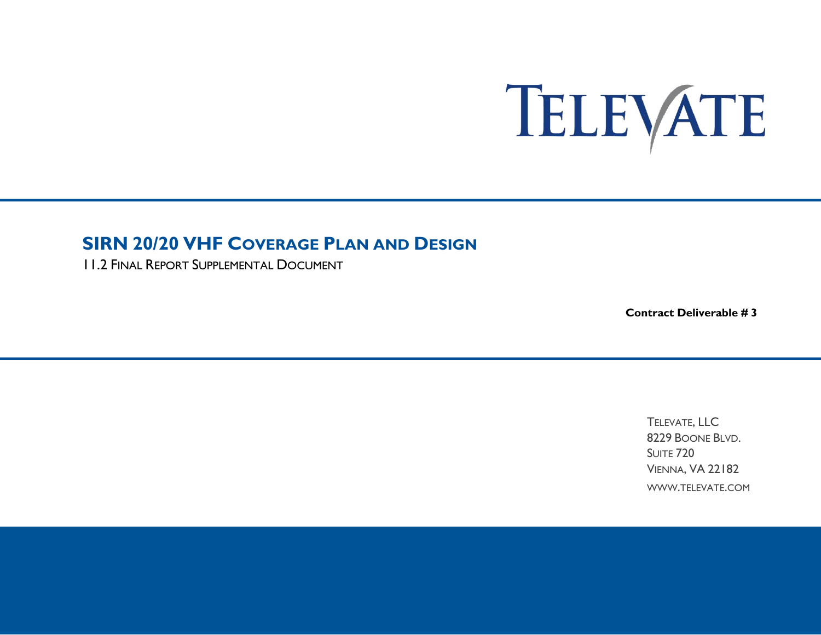# TELEVATE

# **SIRN 20/20 VHF COVERAGE PLAN AND DESIGN**

11.2 FINAL REPORT SUPPLEMENTAL DOCUMENT

**Contract Deliverable # 3**

TELEVATE, LLC 8229 BOONE BLVD. SUITE 720 VIENNA, VA 22182 WWW.TELEVATE.COM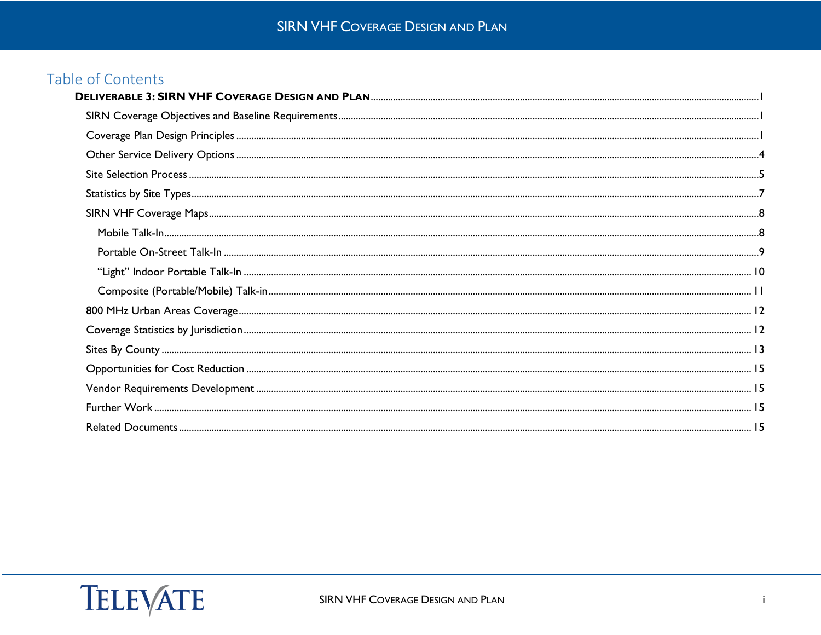## Table of Contents

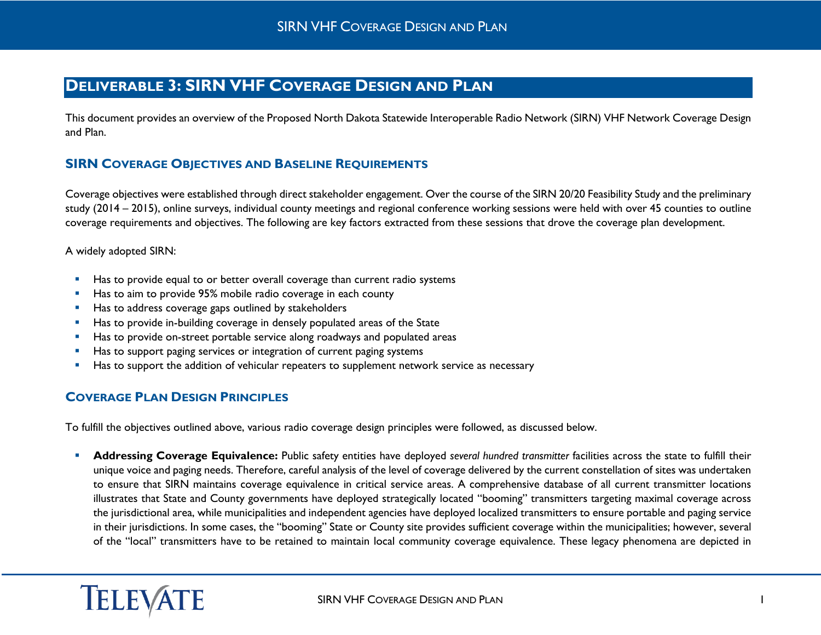## <span id="page-2-0"></span>**DELIVERABLE 3: SIRN VHF COVERAGE DESIGN AND PLAN**

This document provides an overview of the Proposed North Dakota Statewide Interoperable Radio Network (SIRN) VHF Network Coverage Design and Plan.

### <span id="page-2-1"></span>**SIRN COVERAGE OBJECTIVES AND BASELINE REQUIREMENTS**

Coverage objectives were established through direct stakeholder engagement. Over the course of the SIRN 20/20 Feasibility Study and the preliminary study (2014 – 2015), online surveys, individual county meetings and regional conference working sessions were held with over 45 counties to outline coverage requirements and objectives. The following are key factors extracted from these sessions that drove the coverage plan development.

A widely adopted SIRN:

- Has to provide equal to or better overall coverage than current radio systems
- Has to aim to provide 95% mobile radio coverage in each county
- Has to address coverage gaps outlined by stakeholders
- Has to provide in-building coverage in densely populated areas of the State
- Has to provide on-street portable service along roadways and populated areas
- Has to support paging services or integration of current paging systems
- Has to support the addition of vehicular repeaters to supplement network service as necessary

### <span id="page-2-2"></span>**COVERAGE PLAN DESIGN PRINCIPLES**

To fulfill the objectives outlined above, various radio coverage design principles were followed, as discussed below.

 **Addressing Coverage Equivalence:** Public safety entities have deployed *several hundred transmitter* facilities across the state to fulfill their unique voice and paging needs. Therefore, careful analysis of the level of coverage delivered by the current constellation of sites was undertaken to ensure that SIRN maintains coverage equivalence in critical service areas. A comprehensive database of all current transmitter locations illustrates that State and County governments have deployed strategically located "booming" transmitters targeting maximal coverage across the jurisdictional area, while municipalities and independent agencies have deployed localized transmitters to ensure portable and paging service in their jurisdictions. In some cases, the "booming" State or County site provides sufficient coverage within the municipalities; however, several of the "local" transmitters have to be retained to maintain local community coverage equivalence. These legacy phenomena are depicted in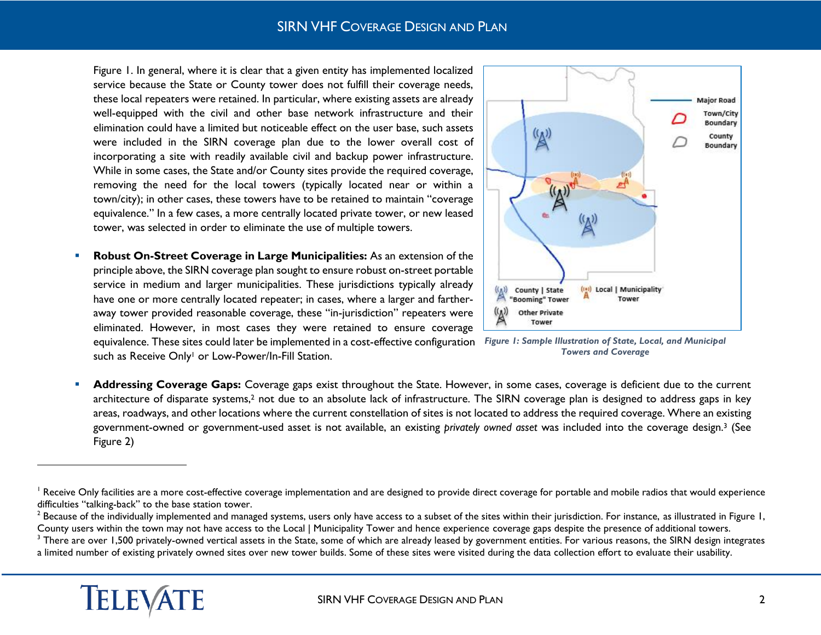Figure 1. In general, where it is clear that a given entity has implemented localized service because the State or County tower does not fulfill their coverage needs, these local repeaters were retained. In particular, where existing assets are already well-equipped with the civil and other base network infrastructure and their elimination could have a limited but noticeable effect on the user base, such assets were included in the SIRN coverage plan due to the lower overall cost of incorporating a site with readily available civil and backup power infrastructure. While in some cases, the State and/or County sites provide the required coverage, removing the need for the local towers (typically located near or within a town/city); in other cases, these towers have to be retained to maintain "coverage equivalence." In a few cases, a more centrally located private tower, or new leased tower, was selected in order to eliminate the use of multiple towers.

 **Robust On-Street Coverage in Large Municipalities:** As an extension of the principle above, the SIRN coverage plan sought to ensure robust on-street portable service in medium and larger municipalities. These jurisdictions typically already have one or more centrally located repeater; in cases, where a larger and fartheraway tower provided reasonable coverage, these "in-jurisdiction" repeaters were eliminated. However, in most cases they were retained to ensure coverage equivalence. These sites could later be implemented in a cost-effective configuration such as Receive Only<sup>1</sup> or Low-Power/In-Fill Station.



*Figure 1: Sample Illustration of State, Local, and Municipal Towers and Coverage*

 **Addressing Coverage Gaps:** Coverage gaps exist throughout the State. However, in some cases, coverage is deficient due to the current architecture of disparate systems,<sup>2</sup> not due to an absolute lack of infrastructure. The SIRN coverage plan is designed to address gaps in key areas, roadways, and other locations where the current constellation of sites is not located to address the required coverage. Where an existing government-owned or government-used asset is not available, an existing *privately owned asset* was included into the coverage design.<sup>3</sup> (See Figure 2)

<sup>&</sup>lt;sup>1</sup> Receive Only facilities are a more cost-effective coverage implementation and are designed to provide direct coverage for portable and mobile radios that would experience difficulties "talking-back" to the base station tower.

<sup>&</sup>lt;sup>2</sup> Because of the individually implemented and managed systems, users only have access to a subset of the sites within their jurisdiction. For instance, as illustrated in Figure 1, County users within the town may not have access to the Local | Municipality Tower and hence experience coverage gaps despite the presence of additional towers.

<sup>&</sup>lt;sup>3</sup> There are over 1,500 privately-owned vertical assets in the State, some of which are already leased by government entities. For various reasons, the SIRN design integrates a limited number of existing privately owned sites over new tower builds. Some of these sites were visited during the data collection effort to evaluate their usability.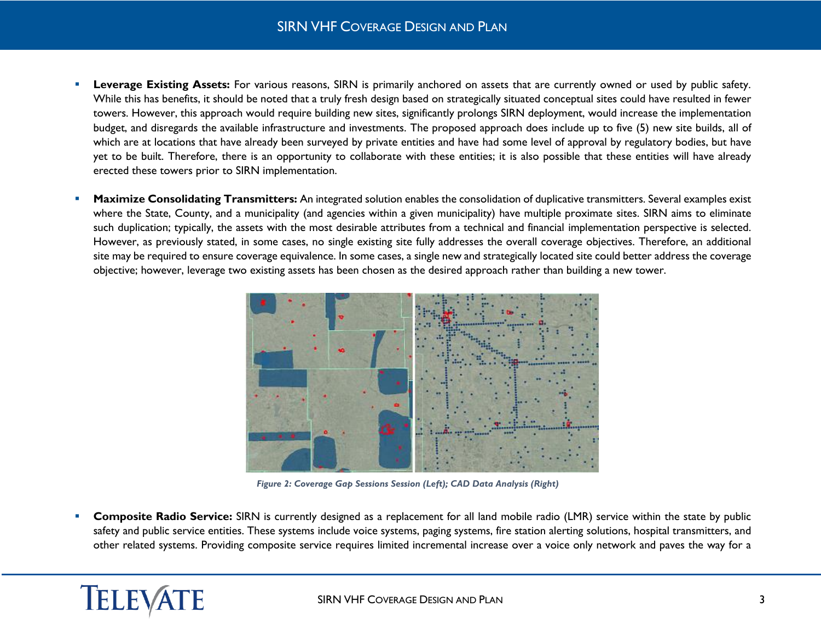- **Leverage Existing Assets:** For various reasons, SIRN is primarily anchored on assets that are currently owned or used by public safety. While this has benefits, it should be noted that a truly fresh design based on strategically situated conceptual sites could have resulted in fewer towers. However, this approach would require building new sites, significantly prolongs SIRN deployment, would increase the implementation budget, and disregards the available infrastructure and investments. The proposed approach does include up to five (5) new site builds, all of which are at locations that have already been surveyed by private entities and have had some level of approval by regulatory bodies, but have yet to be built. Therefore, there is an opportunity to collaborate with these entities; it is also possible that these entities will have already erected these towers prior to SIRN implementation.
- **Maximize Consolidating Transmitters:** An integrated solution enables the consolidation of duplicative transmitters. Several examples exist where the State, County, and a municipality (and agencies within a given municipality) have multiple proximate sites. SIRN aims to eliminate such duplication; typically, the assets with the most desirable attributes from a technical and financial implementation perspective is selected. However, as previously stated, in some cases, no single existing site fully addresses the overall coverage objectives. Therefore, an additional site may be required to ensure coverage equivalence. In some cases, a single new and strategically located site could better address the coverage objective; however, leverage two existing assets has been chosen as the desired approach rather than building a new tower.



*Figure 2: Coverage Gap Sessions Session (Left); CAD Data Analysis (Right)* 

 **Composite Radio Service:** SIRN is currently designed as a replacement for all land mobile radio (LMR) service within the state by public safety and public service entities. These systems include voice systems, paging systems, fire station alerting solutions, hospital transmitters, and other related systems. Providing composite service requires limited incremental increase over a voice only network and paves the way for a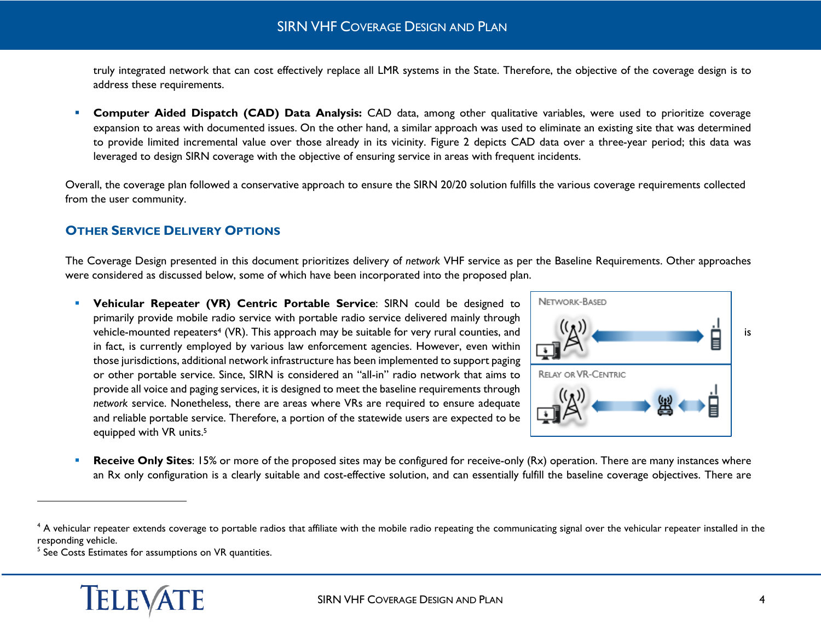truly integrated network that can cost effectively replace all LMR systems in the State. Therefore, the objective of the coverage design is to address these requirements.

 **Computer Aided Dispatch (CAD) Data Analysis:** CAD data, among other qualitative variables, were used to prioritize coverage expansion to areas with documented issues. On the other hand, a similar approach was used to eliminate an existing site that was determined to provide limited incremental value over those already in its vicinity. Figure 2 depicts CAD data over a three-year period; this data was leveraged to design SIRN coverage with the objective of ensuring service in areas with frequent incidents.

Overall, the coverage plan followed a conservative approach to ensure the SIRN 20/20 solution fulfills the various coverage requirements collected from the user community.

### <span id="page-5-0"></span>**OTHER SERVICE DELIVERY OPTIONS**

The Coverage Design presented in this document prioritizes delivery of *network* VHF service as per the Baseline Requirements. Other approaches were considered as discussed below, some of which have been incorporated into the proposed plan.

 **Vehicular Repeater (VR) Centric Portable Service**: SIRN could be designed to primarily provide mobile radio service with portable radio service delivered mainly through vehicle-mounted repeaters<sup>4</sup> (VR). This approach may be suitable for very rural counties, and **interval of the substantial conducts**  $\mathbf{u}$  is is in fact, is currently employed by various law enforcement agencies. However, even within those jurisdictions, additional network infrastructure has been implemented to support paging or other portable service. Since, SIRN is considered an "all-in" radio network that aims to provide all voice and paging services, it is designed to meet the baseline requirements through *network* service. Nonetheless, there are areas where VRs are required to ensure adequate and reliable portable service. Therefore, a portion of the statewide users are expected to be equipped with VR units.<sup>5</sup>



**Receive Only Sites**: 15% or more of the proposed sites may be configured for receive-only (Rx) operation. There are many instances where an Rx only configuration is a clearly suitable and cost-effective solution, and can essentially fulfill the baseline coverage objectives. There are

<sup>&</sup>lt;sup>5</sup> See Costs Estimates for assumptions on VR quantities.



<sup>&</sup>lt;sup>4</sup> A vehicular repeater extends coverage to portable radios that affiliate with the mobile radio repeating the communicating signal over the vehicular repeater installed in the responding vehicle.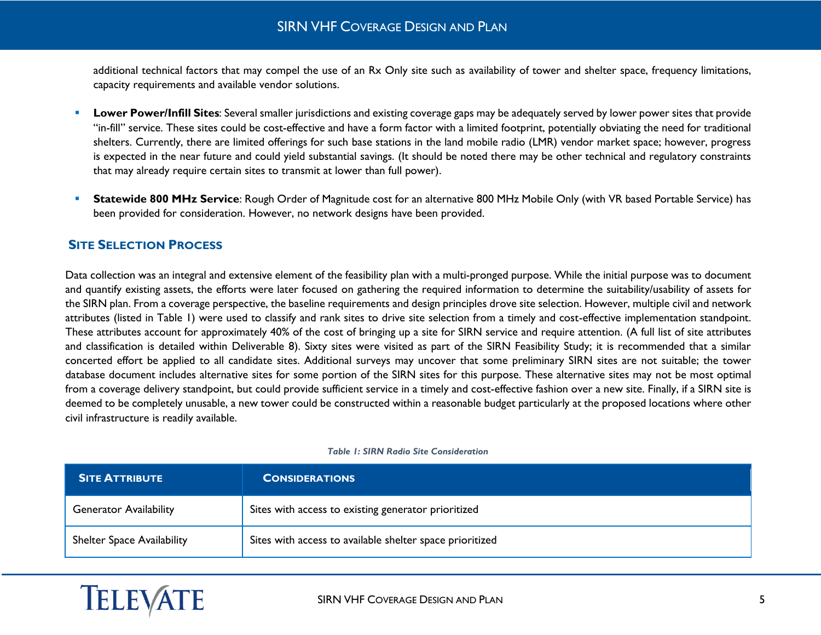additional technical factors that may compel the use of an Rx Only site such as availability of tower and shelter space, frequency limitations, capacity requirements and available vendor solutions.

- **Lower Power/Infill Sites**: Several smaller jurisdictions and existing coverage gaps may be adequately served by lower power sites that provide "in-fill" service. These sites could be cost-effective and have a form factor with a limited footprint, potentially obviating the need for traditional shelters. Currently, there are limited offerings for such base stations in the land mobile radio (LMR) vendor market space; however, progress is expected in the near future and could yield substantial savings. (It should be noted there may be other technical and regulatory constraints that may already require certain sites to transmit at lower than full power).
- **Statewide 800 MHz Service**: Rough Order of Magnitude cost for an alternative 800 MHz Mobile Only (with VR based Portable Service) has been provided for consideration. However, no network designs have been provided.

### <span id="page-6-0"></span>**SITE SELECTION PROCESS**

Data collection was an integral and extensive element of the feasibility plan with a multi-pronged purpose. While the initial purpose was to document and quantify existing assets, the efforts were later focused on gathering the required information to determine the suitability/usability of assets for the SIRN plan. From a coverage perspective, the baseline requirements and design principles drove site selection. However, multiple civil and network attributes (listed in Table 1) were used to classify and rank sites to drive site selection from a timely and cost-effective implementation standpoint. These attributes account for approximately 40% of the cost of bringing up a site for SIRN service and require attention. (A full list of site attributes and classification is detailed within Deliverable 8). Sixty sites were visited as part of the SIRN Feasibility Study; it is recommended that a similar concerted effort be applied to all candidate sites. Additional surveys may uncover that some preliminary SIRN sites are not suitable; the tower database document includes alternative sites for some portion of the SIRN sites for this purpose. These alternative sites may not be most optimal from a coverage delivery standpoint, but could provide sufficient service in a timely and cost-effective fashion over a new site. Finally, if a SIRN site is deemed to be completely unusable, a new tower could be constructed within a reasonable budget particularly at the proposed locations where other civil infrastructure is readily available.

#### *Table 1: SIRN Radio Site Consideration*

| <b>SITE ATTRIBUTE</b>             | <b>CONSIDERATIONS</b>                                    |
|-----------------------------------|----------------------------------------------------------|
| <b>Generator Availability</b>     | Sites with access to existing generator prioritized      |
| <b>Shelter Space Availability</b> | Sites with access to available shelter space prioritized |

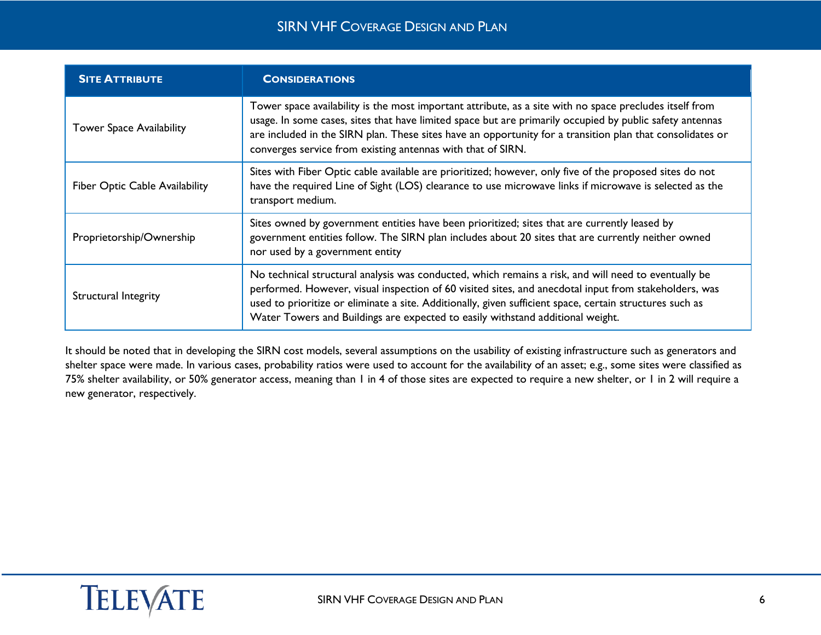| <b>SITE ATTRIBUTE</b>                 | <b>CONSIDERATIONS</b>                                                                                                                                                                                                                                                                                                                                                                                       |
|---------------------------------------|-------------------------------------------------------------------------------------------------------------------------------------------------------------------------------------------------------------------------------------------------------------------------------------------------------------------------------------------------------------------------------------------------------------|
| <b>Tower Space Availability</b>       | Tower space availability is the most important attribute, as a site with no space precludes itself from<br>usage. In some cases, sites that have limited space but are primarily occupied by public safety antennas<br>are included in the SIRN plan. These sites have an opportunity for a transition plan that consolidates or<br>converges service from existing antennas with that of SIRN.             |
| <b>Fiber Optic Cable Availability</b> | Sites with Fiber Optic cable available are prioritized; however, only five of the proposed sites do not<br>have the required Line of Sight (LOS) clearance to use microwave links if microwave is selected as the<br>transport medium.                                                                                                                                                                      |
| Proprietorship/Ownership              | Sites owned by government entities have been prioritized; sites that are currently leased by<br>government entities follow. The SIRN plan includes about 20 sites that are currently neither owned<br>nor used by a government entity                                                                                                                                                                       |
| Structural Integrity                  | No technical structural analysis was conducted, which remains a risk, and will need to eventually be<br>performed. However, visual inspection of 60 visited sites, and anecdotal input from stakeholders, was<br>used to prioritize or eliminate a site. Additionally, given sufficient space, certain structures such as<br>Water Towers and Buildings are expected to easily withstand additional weight. |

It should be noted that in developing the SIRN cost models, several assumptions on the usability of existing infrastructure such as generators and shelter space were made. In various cases, probability ratios were used to account for the availability of an asset; e.g., some sites were classified as 75% shelter availability, or 50% generator access, meaning than 1 in 4 of those sites are expected to require a new shelter, or 1 in 2 will require a new generator, respectively.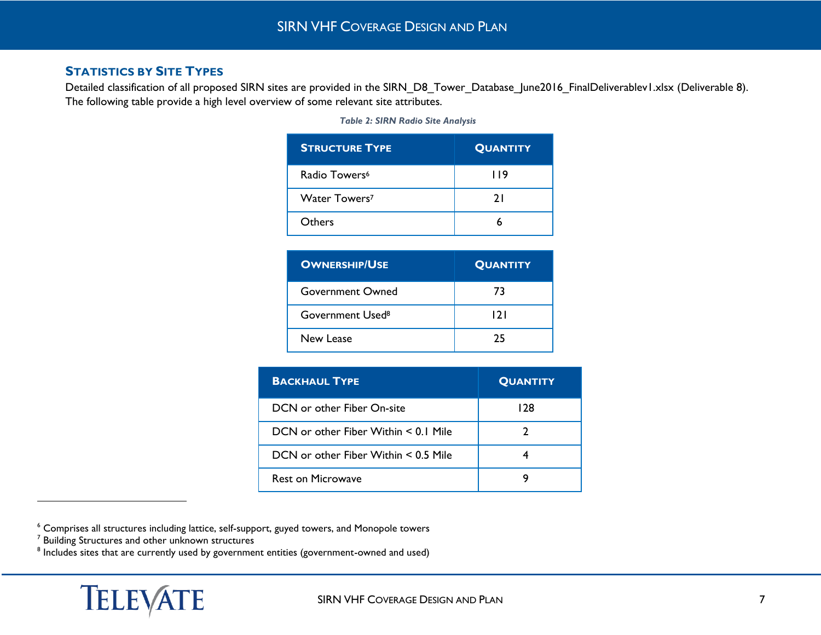### <span id="page-8-0"></span>**STATISTICS BY SITE TYPES**

Detailed classification of all proposed SIRN sites are provided in the SIRN\_D8\_Tower\_Database\_June2016\_FinalDeliverablev1.xlsx (Deliverable 8). The following table provide a high level overview of some relevant site attributes.

*Table 2: SIRN Radio Site Analysis*

| <b>STRUCTURE TYPE</b>     | <b>QUANTITY</b> |
|---------------------------|-----------------|
| Radio Towers <sup>6</sup> | 119             |
| Water Towers <sup>7</sup> | 21              |
| Others                    |                 |

| <b>OWNERSHIP/USE</b>         | <b>QUANTITY</b> |
|------------------------------|-----------------|
| <b>Government Owned</b>      | 73              |
| Government Used <sup>8</sup> | 121             |
| New Lease                    | 25              |

| <b>BACKHAUL TYPE</b>                        | <b>QUANTITY</b> |
|---------------------------------------------|-----------------|
| DCN or other Fiber On-site                  | 128             |
| $DCN$ or other Fiber Within $\leq 0.1$ Mile |                 |
| $DCN$ or other Fiber Within $< 0.5$ Mile    |                 |
| Rest on Microwave                           |                 |

 $6$  Comprises all structures including lattice, self-support, guyed towers, and Monopole towers

 $\overline{a}$ 

<sup>8</sup> Includes sites that are currently used by government entities (government-owned and used)



<sup>&</sup>lt;sup>7</sup> Building Structures and other unknown structures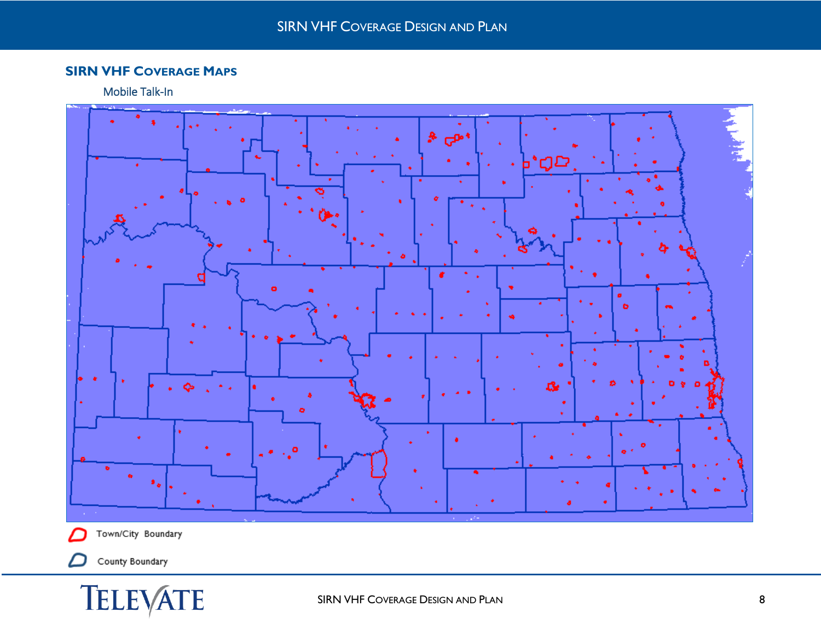### <span id="page-9-1"></span><span id="page-9-0"></span>**SIRN VHF COVERAGE MAPS**

### Mobile Talk-In



Town/City Boundary

County Boundary

▱

TELEVATE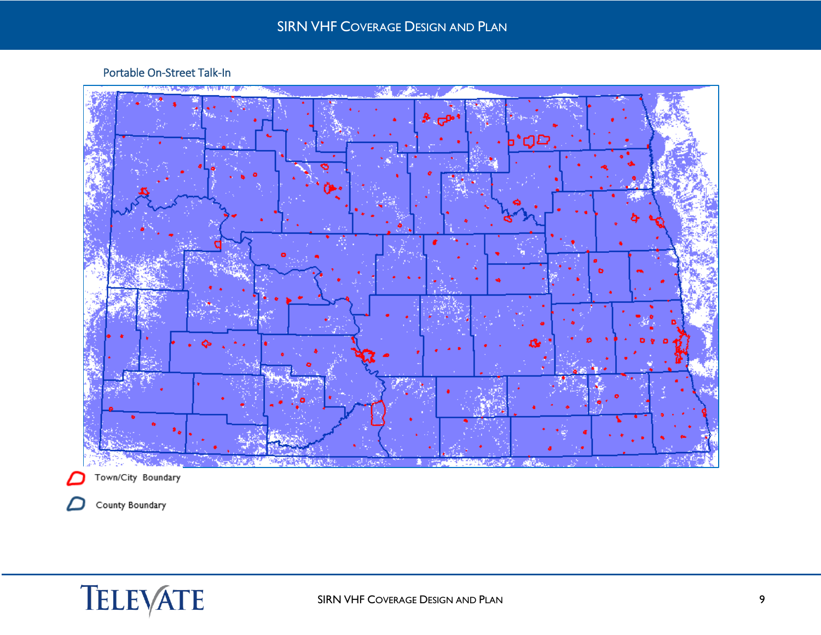### Portable On-Street Talk-In

<span id="page-10-0"></span>

County Boundary ∕

# TELEVATE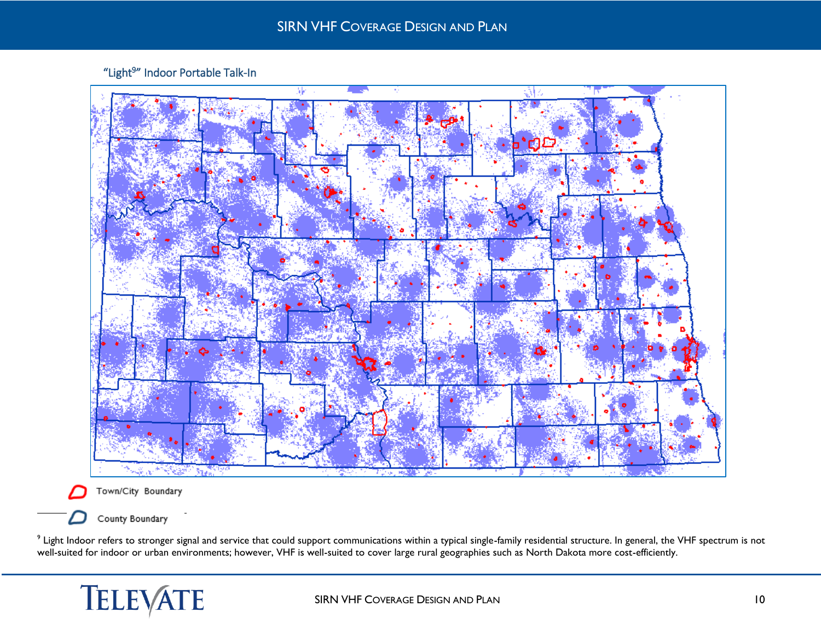### "Light<sup>9</sup>" Indoor Portable Talk-In

<span id="page-11-0"></span>

Town/City Boundary

### County Boundary

 $\overline{a}$ 

 $^9$  Light Indoor refers to stronger signal and service that could support communications within a typical single-family residential structure. In general, the VHF spectrum is not well-suited for indoor or urban environments; however, VHF is well-suited to cover large rural geographies such as North Dakota more cost-efficiently.

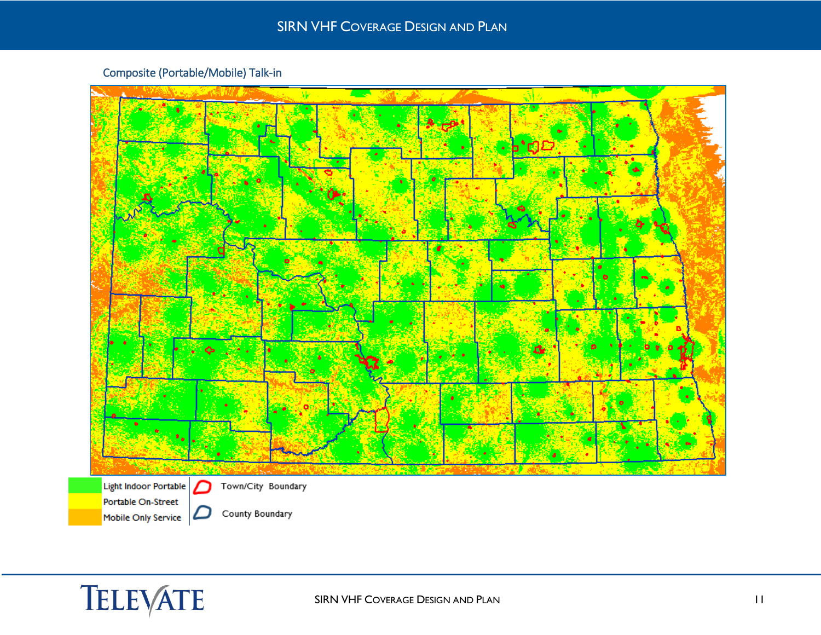Composite (Portable/Mobile) Talk-in

<span id="page-12-0"></span>

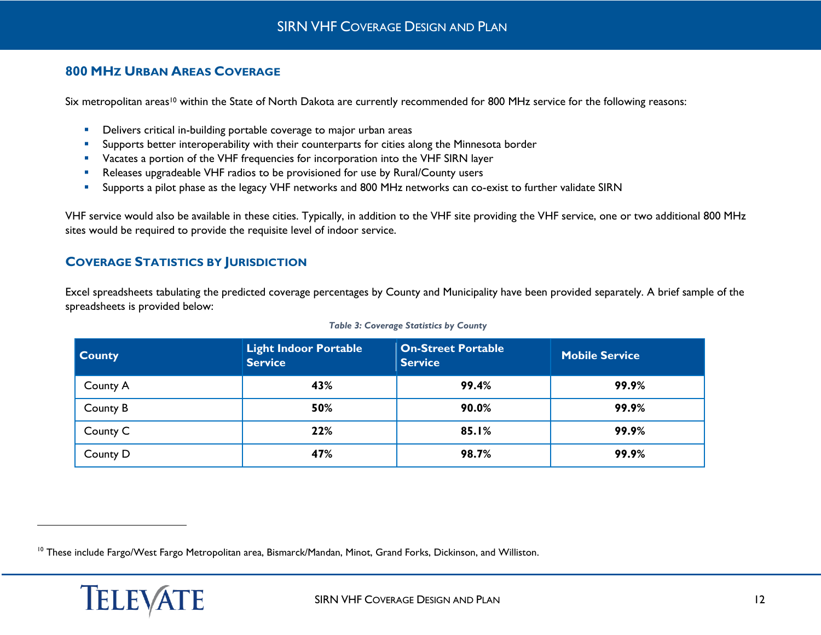### <span id="page-13-0"></span>**800 MHZ URBAN AREAS COVERAGE**

Six metropolitan areas<sup>10</sup> within the State of North Dakota are currently recommended for 800 MHz service for the following reasons:

- **•** Delivers critical in-building portable coverage to major urban areas
- **Supports better interoperability with their counterparts for cities along the Minnesota border**
- Vacates a portion of the VHF frequencies for incorporation into the VHF SIRN layer
- Releases upgradeable VHF radios to be provisioned for use by Rural/County users
- Supports a pilot phase as the legacy VHF networks and 800 MHz networks can co-exist to further validate SIRN

VHF service would also be available in these cities. Typically, in addition to the VHF site providing the VHF service, one or two additional 800 MHz sites would be required to provide the requisite level of indoor service.

### <span id="page-13-1"></span>**COVERAGE STATISTICS BY JURISDICTION**

Excel spreadsheets tabulating the predicted coverage percentages by County and Municipality have been provided separately. A brief sample of the spreadsheets is provided below:

| <b>County</b> | <b>Light Indoor Portable</b><br><b>Service</b> | <b>On-Street Portable</b><br><b>Service</b> | <b>Mobile Service</b> |
|---------------|------------------------------------------------|---------------------------------------------|-----------------------|
| County A      | 43%                                            | 99.4%                                       | 99.9%                 |
| County B      | 50%                                            | 90.0%                                       | 99.9%                 |
| County C      | 22%                                            | 85.I%                                       | 99.9%                 |
| County D      | 47%                                            | 98.7%                                       | 99.9%                 |

### *Table 3: Coverage Statistics by County*

<sup>&</sup>lt;sup>10</sup> These include Fargo/West Fargo Metropolitan area, Bismarck/Mandan, Minot, Grand Forks, Dickinson, and Williston.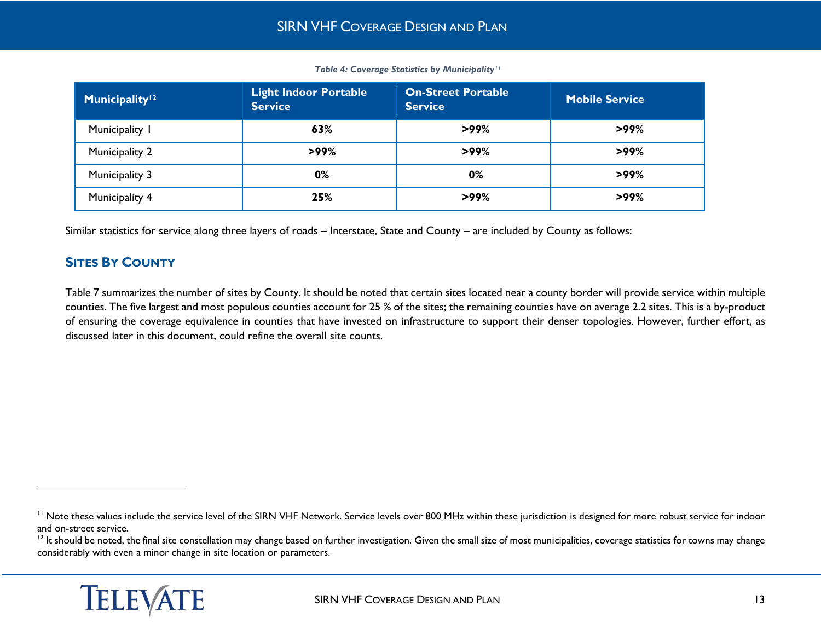| <b>Municipality<sup>12</sup></b> | <b>Light Indoor Portable</b><br><b>Service</b> | <b>On-Street Portable</b><br><b>Service</b> | <b>Mobile Service</b> |
|----------------------------------|------------------------------------------------|---------------------------------------------|-----------------------|
| Municipality I                   | 63%                                            | $>99\%$                                     | $>99\%$               |
| <b>Municipality 2</b>            | $>99\%$                                        | $>99\%$                                     | $>99\%$               |
| Municipality 3                   | 0%                                             | 0%                                          | $>99\%$               |
| Municipality 4                   | 25%                                            | $>99\%$                                     | $>99\%$               |

*Table 4: Coverage Statistics by Municipality<sup>11</sup>*

Similar statistics for service along three layers of roads – Interstate, State and County – are included by County as follows:

### <span id="page-14-0"></span>**SITES BY COUNTY**

Table 7 summarizes the number of sites by County. It should be noted that certain sites located near a county border will provide service within multiple counties. The five largest and most populous counties account for 25 % of the sites; the remaining counties have on average 2.2 sites. This is a by-product of ensuring the coverage equivalence in counties that have invested on infrastructure to support their denser topologies. However, further effort, as discussed later in this document, could refine the overall site counts.

 $12$  It should be noted, the final site constellation may change based on further investigation. Given the small size of most municipalities, coverage statistics for towns may change considerably with even a minor change in site location or parameters.



<sup>&</sup>lt;sup>11</sup> Note these values include the service level of the SIRN VHF Network. Service levels over 800 MHz within these jurisdiction is designed for more robust service for indoor and on-street service.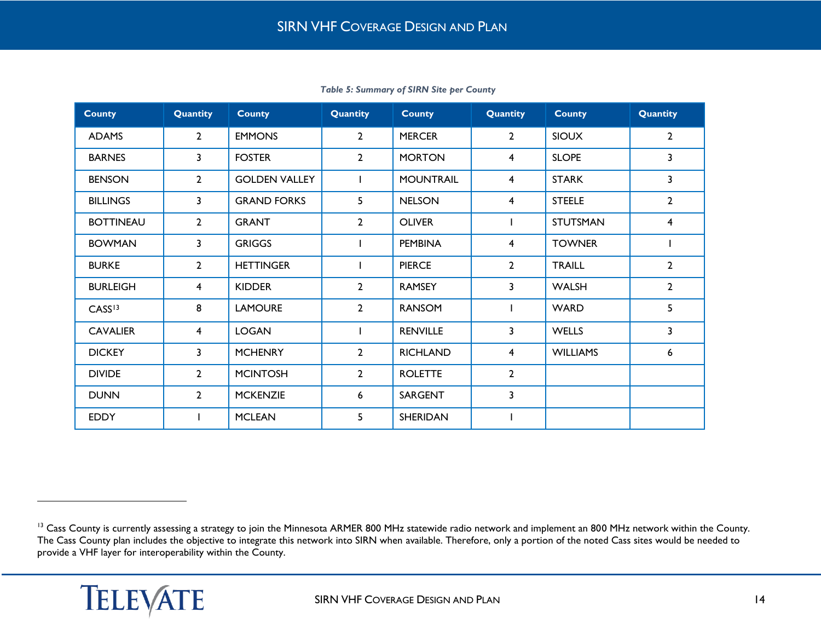| <b>County</b>      | Quantity       | <b>County</b>        | Quantity       | <b>County</b>    | Quantity                | <b>County</b>   | Quantity       |
|--------------------|----------------|----------------------|----------------|------------------|-------------------------|-----------------|----------------|
| <b>ADAMS</b>       | $\overline{2}$ | <b>EMMONS</b>        | $2^{\circ}$    | <b>MERCER</b>    | $\overline{2}$          | <b>SIOUX</b>    | $\overline{2}$ |
| <b>BARNES</b>      | 3              | <b>FOSTER</b>        | $\overline{2}$ | <b>MORTON</b>    | $\overline{4}$          | <b>SLOPE</b>    | 3              |
| <b>BENSON</b>      | $\overline{2}$ | <b>GOLDEN VALLEY</b> |                | <b>MOUNTRAIL</b> | $\overline{4}$          | <b>STARK</b>    | 3              |
| <b>BILLINGS</b>    | 3              | <b>GRAND FORKS</b>   | 5              | <b>NELSON</b>    | $\overline{4}$          | <b>STEELE</b>   | $\overline{2}$ |
| <b>BOTTINEAU</b>   | $\mathbf{2}$   | <b>GRANT</b>         | $\overline{2}$ | <b>OLIVER</b>    |                         | <b>STUTSMAN</b> | 4              |
| <b>BOWMAN</b>      | 3              | <b>GRIGGS</b>        |                | <b>PEMBINA</b>   | $\overline{4}$          | <b>TOWNER</b>   |                |
| <b>BURKE</b>       | $\overline{2}$ | <b>HETTINGER</b>     |                | <b>PIERCE</b>    | $\overline{2}$          | <b>TRAILL</b>   | $\overline{2}$ |
| <b>BURLEIGH</b>    | $\overline{4}$ | <b>KIDDER</b>        | $\overline{2}$ | <b>RAMSEY</b>    | 3                       | <b>WALSH</b>    | $\overline{2}$ |
| CASS <sup>13</sup> | 8              | <b>LAMOURE</b>       | $\overline{2}$ | <b>RANSOM</b>    |                         | <b>WARD</b>     | 5              |
| <b>CAVALIER</b>    | $\overline{4}$ | <b>LOGAN</b>         |                | <b>RENVILLE</b>  | 3                       | <b>WELLS</b>    | 3              |
| <b>DICKEY</b>      | 3              | <b>MCHENRY</b>       | $\overline{2}$ | <b>RICHLAND</b>  | $\overline{4}$          | <b>WILLIAMS</b> | 6              |
| <b>DIVIDE</b>      | $\overline{2}$ | <b>MCINTOSH</b>      | $\overline{2}$ | <b>ROLETTE</b>   | $\overline{2}$          |                 |                |
| <b>DUNN</b>        | $\overline{2}$ | <b>MCKENZIE</b>      | 6              | SARGENT          | $\overline{\mathbf{3}}$ |                 |                |
| <b>EDDY</b>        |                | <b>MCLEAN</b>        | 5              | <b>SHERIDAN</b>  |                         |                 |                |

*Table 5: Summary of SIRN Site per County* 

<sup>&</sup>lt;sup>13</sup> Cass County is currently assessing a strategy to join the Minnesota ARMER 800 MHz statewide radio network and implement an 800 MHz network within the County. The Cass County plan includes the objective to integrate this network into SIRN when available. Therefore, only a portion of the noted Cass sites would be needed to provide a VHF layer for interoperability within the County.